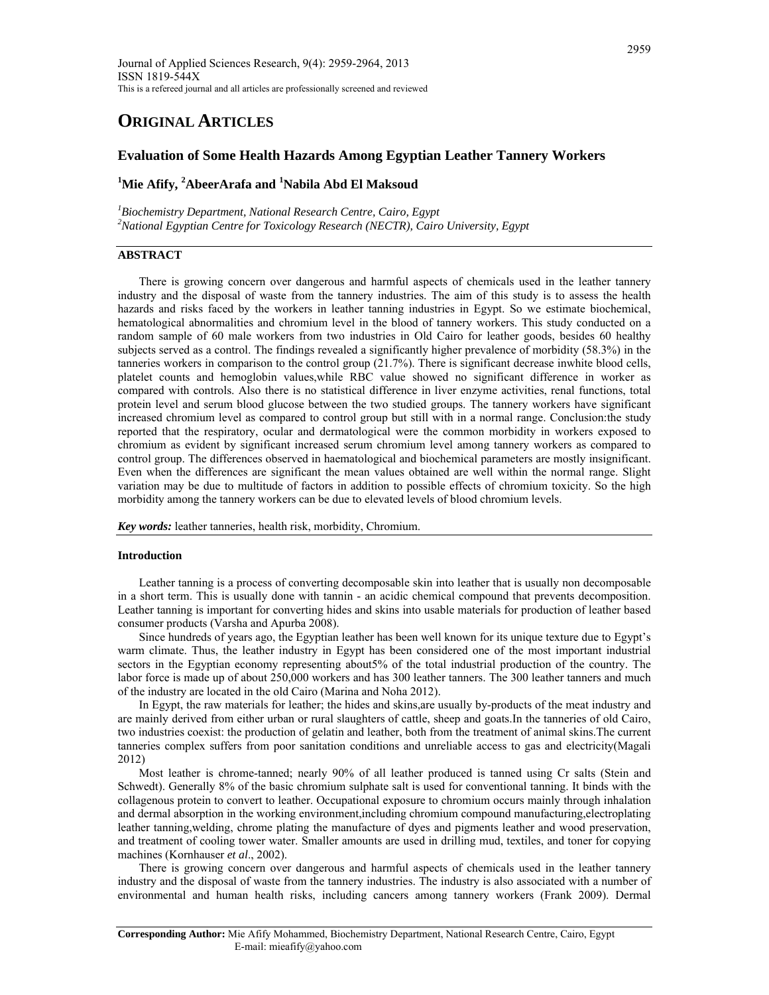# **ORIGINAL ARTICLES**

# **Evaluation of Some Health Hazards Among Egyptian Leather Tannery Workers**

# <sup>1</sup>**Mie Afify, <sup>2</sup>AbeerArafa and <sup>1</sup>Nabila Abd El Maksoud**

*1 Biochemistry Department, National Research Centre, Cairo, Egypt 2 National Egyptian Centre for Toxicology Research (NECTR), Cairo University, Egypt* 

# **ABSTRACT**

There is growing concern over dangerous and harmful aspects of chemicals used in the leather tannery industry and the disposal of waste from the tannery industries. The aim of this study is to assess the health hazards and risks faced by the workers in leather tanning industries in Egypt. So we estimate biochemical, hematological abnormalities and chromium level in the blood of tannery workers. This study conducted on a random sample of 60 male workers from two industries in Old Cairo for leather goods, besides 60 healthy subjects served as a control. The findings revealed a significantly higher prevalence of morbidity (58.3%) in the tanneries workers in comparison to the control group (21.7%). There is significant decrease inwhite blood cells, platelet counts and hemoglobin values,while RBC value showed no significant difference in worker as compared with controls. Also there is no statistical difference in liver enzyme activities, renal functions, total protein level and serum blood glucose between the two studied groups. The tannery workers have significant increased chromium level as compared to control group but still with in a normal range. Conclusion:the study reported that the respiratory, ocular and dermatological were the common morbidity in workers exposed to chromium as evident by significant increased serum chromium level among tannery workers as compared to control group. The differences observed in haematological and biochemical parameters are mostly insignificant. Even when the differences are significant the mean values obtained are well within the normal range. Slight variation may be due to multitude of factors in addition to possible effects of chromium toxicity. So the high morbidity among the tannery workers can be due to elevated levels of blood chromium levels.

*Key words:* leather tanneries, health risk, morbidity, Chromium.

# **Introduction**

Leather tanning is a process of converting decomposable skin into leather that is usually non decomposable in a short term. This is usually done with tannin - an acidic chemical compound that prevents decomposition. Leather tanning is important for converting hides and skins into usable materials for production of leather based consumer products (Varsha and Apurba 2008).

Since hundreds of years ago, the Egyptian leather has been well known for its unique texture due to Egypt's warm climate. Thus, the leather industry in Egypt has been considered one of the most important industrial sectors in the Egyptian economy representing about5% of the total industrial production of the country. The labor force is made up of about 250,000 workers and has 300 leather tanners. The 300 leather tanners and much of the industry are located in the old Cairo (Marina and Noha 2012).

In Egypt, the raw materials for leather; the hides and skins,are usually by-products of the meat industry and are mainly derived from either urban or rural slaughters of cattle, sheep and goats.In the tanneries of old Cairo, two industries coexist: the production of gelatin and leather, both from the treatment of animal skins.The current tanneries complex suffers from poor sanitation conditions and unreliable access to gas and electricity(Magali 2012)

Most leather is chrome-tanned; nearly 90% of all leather produced is tanned using Cr salts (Stein and Schwedt). Generally 8% of the basic chromium sulphate salt is used for conventional tanning. It binds with the collagenous protein to convert to leather. Occupational exposure to chromium occurs mainly through inhalation and dermal absorption in the working environment,including chromium compound manufacturing,electroplating leather tanning,welding, chrome plating the manufacture of dyes and pigments leather and wood preservation, and treatment of cooling tower water. Smaller amounts are used in drilling mud, textiles, and toner for copying machines (Kornhauser *et al*., 2002).

There is growing concern over dangerous and harmful aspects of chemicals used in the leather tannery industry and the disposal of waste from the tannery industries. The industry is also associated with a number of environmental and human health risks, including cancers among tannery workers (Frank 2009). Dermal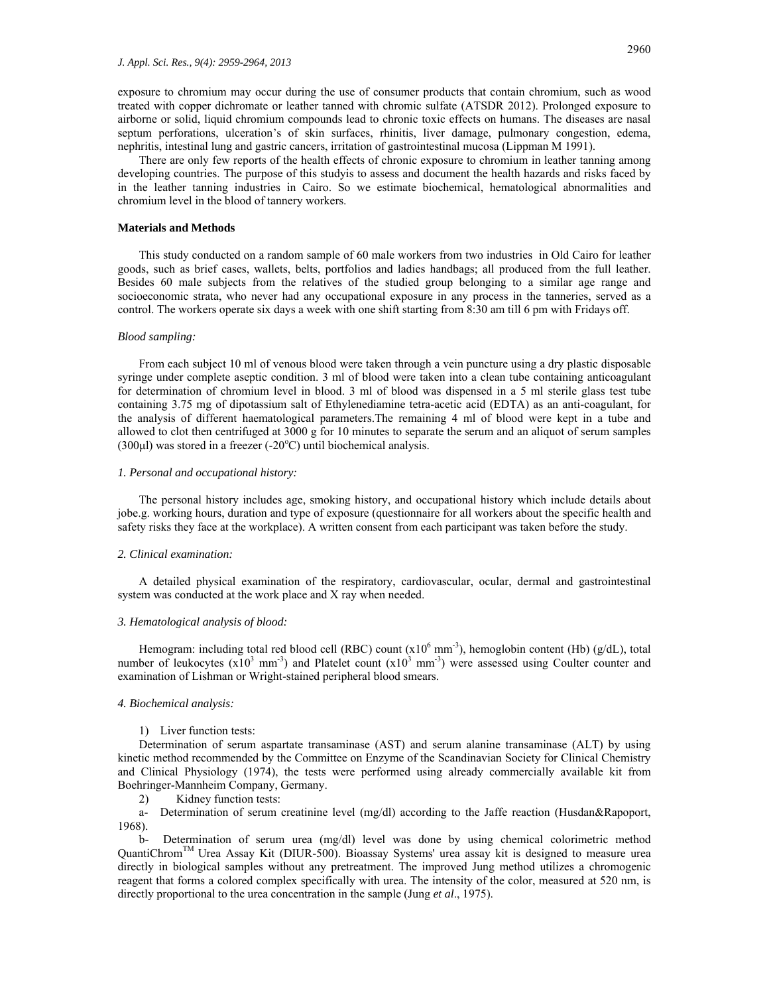exposure to chromium may occur during the use of consumer products that contain chromium, such as wood treated with copper dichromate or leather tanned with chromic sulfate (ATSDR 2012). Prolonged exposure to airborne or solid, liquid chromium compounds lead to chronic toxic effects on humans. The diseases are nasal septum perforations, ulceration's of skin surfaces, rhinitis, liver damage, pulmonary congestion, edema, nephritis, intestinal lung and gastric cancers, irritation of gastrointestinal mucosa (Lippman M 1991).

There are only few reports of the health effects of chronic exposure to chromium in leather tanning among developing countries. The purpose of this studyis to assess and document the health hazards and risks faced by in the leather tanning industries in Cairo. So we estimate biochemical, hematological abnormalities and chromium level in the blood of tannery workers.

#### **Materials and Methods**

This study conducted on a random sample of 60 male workers from two industries in Old Cairo for leather goods, such as brief cases, wallets, belts, portfolios and ladies handbags; all produced from the full leather. Besides 60 male subjects from the relatives of the studied group belonging to a similar age range and socioeconomic strata, who never had any occupational exposure in any process in the tanneries, served as a control. The workers operate six days a week with one shift starting from 8:30 am till 6 pm with Fridays off.

#### *Blood sampling:*

From each subject 10 ml of venous blood were taken through a vein puncture using a dry plastic disposable syringe under complete aseptic condition. 3 ml of blood were taken into a clean tube containing anticoagulant for determination of chromium level in blood. 3 ml of blood was dispensed in a 5 ml sterile glass test tube containing 3.75 mg of dipotassium salt of Ethylenediamine tetra-acetic acid (EDTA) as an anti-coagulant, for the analysis of different haematological parameters.The remaining 4 ml of blood were kept in a tube and allowed to clot then centrifuged at 3000 g for 10 minutes to separate the serum and an aliquot of serum samples  $(300\mu l)$  was stored in a freezer  $(-20\textdegree C)$  until biochemical analysis.

#### *1. Personal and occupational history:*

The personal history includes age, smoking history, and occupational history which include details about jobe.g. working hours, duration and type of exposure (questionnaire for all workers about the specific health and safety risks they face at the workplace). A written consent from each participant was taken before the study.

# *2. Clinical examination:*

A detailed physical examination of the respiratory, cardiovascular, ocular, dermal and gastrointestinal system was conducted at the work place and X ray when needed.

#### *3. Hematological analysis of blood:*

Hemogram: including total red blood cell (RBC) count  $(x10^6 \text{ mm}^3)$ , hemoglobin content (Hb) (g/dL), total number of leukocytes  $(x10^3 \text{ mm}^3)$  and Platelet count  $(x10^3 \text{ mm}^3)$  were assessed using Coulter counter and examination of Lishman or Wright-stained peripheral blood smears.

## *4. Biochemical analysis:*

#### 1) Liver function tests:

Determination of serum aspartate transaminase (AST) and serum alanine transaminase (ALT) by using kinetic method recommended by the Committee on Enzyme of the Scandinavian Society for Clinical Chemistry and Clinical Physiology (1974), the tests were performed using already commercially available kit from Boehringer-Mannheim Company, Germany.

2) Kidney function tests:

a- Determination of serum creatinine level (mg/dl) according to the Jaffe reaction (Husdan&Rapoport, 1968).

b- Determination of serum urea (mg/dl) level was done by using chemical colorimetric method QuantiChromTM Urea Assay Kit (DIUR-500). Bioassay Systems' urea assay kit is designed to measure urea directly in biological samples without any pretreatment. The improved Jung method utilizes a chromogenic reagent that forms a colored complex specifically with urea. The intensity of the color, measured at 520 nm, is directly proportional to the urea concentration in the sample (Jung *et al*., 1975).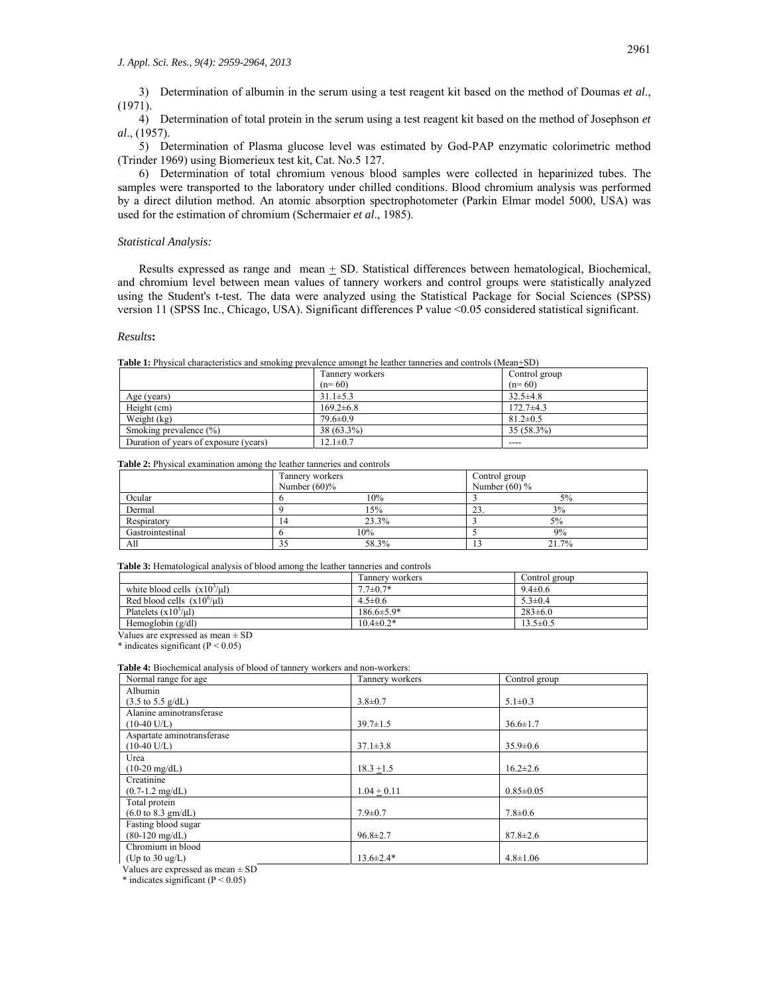3) Determination of albumin in the serum using a test reagent kit based on the method of Doumas *et al*., (1971).

4) Determination of total protein in the serum using a test reagent kit based on the method of Josephson *et al*., (1957).

5) Determination of Plasma glucose level was estimated by God-PAP enzymatic colorimetric method (Trinder 1969) using Biomerieux test kit, Cat. No.5 127.

6) Determination of total chromium venous blood samples were collected in heparinized tubes. The samples were transported to the laboratory under chilled conditions. Blood chromium analysis was performed by a direct dilution method. An atomic absorption spectrophotometer (Parkin Elmar model 5000, USA) was used for the estimation of chromium (Schermaier *et al*., 1985).

#### *Statistical Analysis:*

Results expressed as range and mean  $\pm$  SD. Statistical differences between hematological, Biochemical, and chromium level between mean values of tannery workers and control groups were statistically analyzed using the Student's t-test. The data were analyzed using the Statistical Package for Social Sciences (SPSS) version 11 (SPSS Inc., Chicago, USA). Significant differences P value <0.05 considered statistical significant.

#### *Results***:**

**Table 1:** Physical characteristics and smoking prevalence amongt he leather tanneries and controls (Mean+SD)

|                                       | Tannery workers | Control group  |
|---------------------------------------|-----------------|----------------|
|                                       | $(n=60)$        | $(n=60)$       |
| Age (years)                           | $31.1 \pm 5.3$  | $32.5 \pm 4.8$ |
| Height (cm)                           | $169.2 \pm 6.8$ | $172.7+4.3$    |
| Weight (kg)                           | $79.6 \pm 0.9$  | $81.2 \pm 0.5$ |
| Smoking prevalence $(\% )$            | 38 (63.3%)      | 35 (58.3%)     |
| Duration of years of exposure (years) | $12.1 \pm 0.7$  | ----           |

**Table 2:** Physical examination among the leather tanneries and controls

|                  | Tannery workers |       | Control group   |       |
|------------------|-----------------|-------|-----------------|-------|
|                  | Number $(60)$ % |       | Number $(60)$ % |       |
| Ocular           |                 | 10%   |                 | 5%    |
| Dermal           |                 | 15%   | 23.             | 3%    |
| Respiratory      | 14              | 23.3% |                 | 5%    |
| Gastrointestinal |                 | 10%   |                 | 9%    |
| All              | د د             | 58.3% |                 | 21.7% |

**Table 3:** Hematological analysis of blood among the leather tanneries and controls

|                                  | Tannery workers  | Control group  |
|----------------------------------|------------------|----------------|
| white blood cells $(x103/\mu l)$ | $7.7 \pm 0.7*$   | $9.4 \pm 0.6$  |
| Red blood cells $(x10^6/\mu l)$  | $4.5 \pm 0.6$    | $5.3 \pm 0.4$  |
| Platelets $(x10^3/\mu l)$        | $186.6 \pm 5.9*$ | $283 \pm 6.0$  |
| Hemoglobin $(g/dl)$              | $10.4 \pm 0.2*$  | $13.5 \pm 0.5$ |

Values are expressed as mean  $\pm$  SD

 $*$  indicates significant (P < 0.05)

Table 4: Biochemical analysis of blood of tannery workers and non-workers:

| Normal range for age                  | Tannery workers | Control group   |
|---------------------------------------|-----------------|-----------------|
| Albumin                               |                 |                 |
| $(3.5 \text{ to } 5.5 \text{ g/dL})$  | $3.8 \pm 0.7$   | $5.1 \pm 0.3$   |
| Alanine aminotransferase              |                 |                 |
| $(10-40 \text{ U/L})$                 | $39.7 \pm 1.5$  | $36.6 \pm 1.7$  |
| Aspartate aminotransferase            |                 |                 |
| $(10-40 \text{ U/L})$                 | $37.1 \pm 3.8$  | $35.9 \pm 0.6$  |
| Urea                                  |                 |                 |
| $(10-20 \text{ mg/dL})$               | $18.3 + 1.5$    | $16.2 \pm 2.6$  |
| Creatinine                            |                 |                 |
| $(0.7-1.2 \text{ mg/dL})$             | $1.04 + 0.11$   | $0.85 \pm 0.05$ |
| Total protein                         |                 |                 |
| $(6.0 \text{ to } 8.3 \text{ gm/dL})$ | $7.9 \pm 0.7$   | $7.8 \pm 0.6$   |
| Fasting blood sugar                   |                 |                 |
| $(80-120 \text{ mg/dL})$              | $96.8 \pm 2.7$  | $87.8 \pm 2.6$  |
| Chromium in blood                     |                 |                 |
| (Up to $30 \text{ ug/L}$ )            | $13.6 \pm 2.4*$ | $4.8 \pm 1.06$  |

Values are expressed as mean ± SD

\* indicates significant  $(P < 0.05)$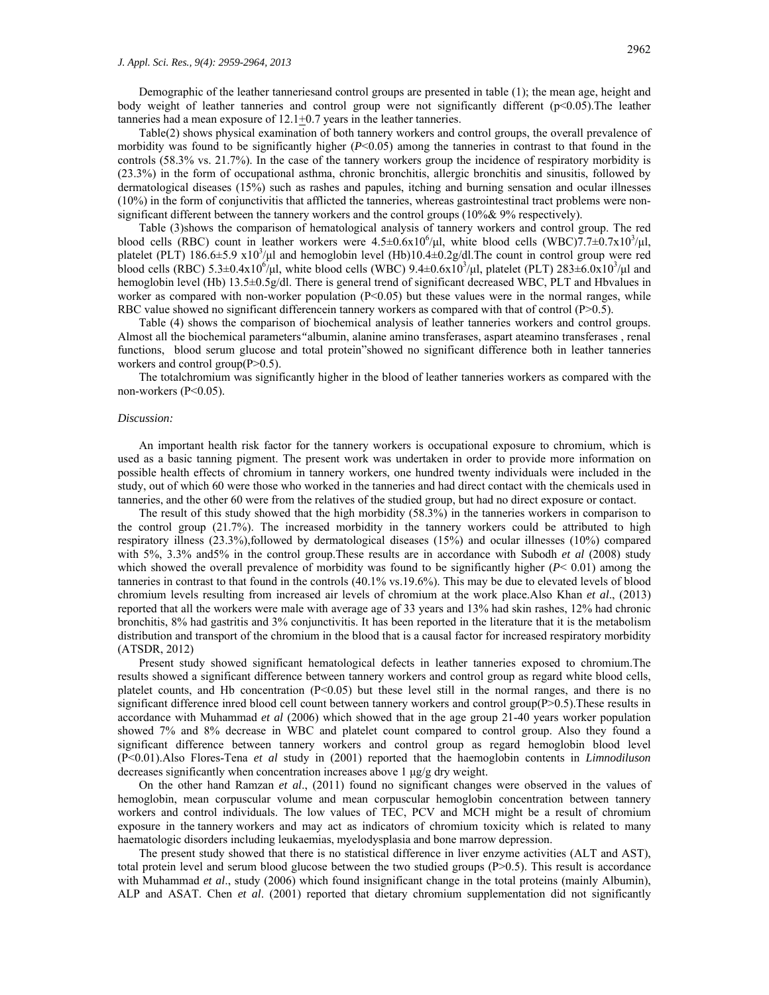Demographic of the leather tanneriesand control groups are presented in table (1); the mean age, height and body weight of leather tanneries and control group were not significantly different (p<0.05).The leather tanneries had a mean exposure of 12.1+0.7 years in the leather tanneries.

Table(2) shows physical examination of both tannery workers and control groups, the overall prevalence of morbidity was found to be significantly higher (*P*<0.05) among the tanneries in contrast to that found in the controls (58.3% vs. 21.7%). In the case of the tannery workers group the incidence of respiratory morbidity is (23.3%) in the form of occupational asthma, chronic bronchitis, allergic bronchitis and sinusitis, followed by dermatological diseases (15%) such as rashes and papules, itching and burning sensation and ocular illnesses (10%) in the form of conjunctivitis that afflicted the tanneries, whereas gastrointestinal tract problems were nonsignificant different between the tannery workers and the control groups (10%& 9% respectively).

Table (3)shows the comparison of hematological analysis of tannery workers and control group. The red blood cells (RBC) count in leather workers were  $4.5\pm0.6x10^6/\mu l$ , white blood cells (WBC)7.7 $\pm$ 0.7x10<sup>3</sup>/ $\mu$ l, platelet (PLT)  $186.6 \pm 5.9 \times 10^3/\mu$  and hemoglobin level (Hb)10.4 $\pm 0.2$ g/dl. The count in control group were red blood cells (RBC)  $5.3\pm0.4x10^6/\mu l$ , white blood cells (WBC)  $9.4\pm0.6x10^3/\mu l$ , platelet (PLT)  $283\pm6.0x10^3/\mu l$  and hemoglobin level (Hb) 13.5±0.5g/dl. There is general trend of significant decreased WBC, PLT and Hbvalues in worker as compared with non-worker population (P<0.05) but these values were in the normal ranges, while RBC value showed no significant differencein tannery workers as compared with that of control (P>0.5).

Table (4) shows the comparison of biochemical analysis of leather tanneries workers and control groups. Almost all the biochemical parameters*"*albumin, alanine amino transferases, aspart ateamino transferases , renal functions, blood serum glucose and total protein"showed no significant difference both in leather tanneries workers and control group(P>0.5).

The totalchromium was significantly higher in the blood of leather tanneries workers as compared with the non-workers (P<0.05).

#### *Discussion:*

An important health risk factor for the tannery workers is occupational exposure to chromium, which is used as a basic tanning pigment. The present work was undertaken in order to provide more information on possible health effects of chromium in tannery workers, one hundred twenty individuals were included in the study, out of which 60 were those who worked in the tanneries and had direct contact with the chemicals used in tanneries, and the other 60 were from the relatives of the studied group, but had no direct exposure or contact.

The result of this study showed that the high morbidity (58.3%) in the tanneries workers in comparison to the control group (21.7%). The increased morbidity in the tannery workers could be attributed to high respiratory illness (23.3%),followed by dermatological diseases (15%) and ocular illnesses (10%) compared with 5%, 3.3% and5% in the control group.These results are in accordance with Subodh *et al* (2008) study which showed the overall prevalence of morbidity was found to be significantly higher  $(P< 0.01)$  among the tanneries in contrast to that found in the controls (40.1% vs.19.6%). This may be due to elevated levels of blood chromium levels resulting from increased air levels of chromium at the work place.Also Khan *et al*., (2013) reported that all the workers were male with average age of 33 years and 13% had skin rashes, 12% had chronic bronchitis, 8% had gastritis and 3% conjunctivitis. It has been reported in the literature that it is the metabolism distribution and transport of the chromium in the blood that is a causal factor for increased respiratory morbidity (ATSDR, 2012)

Present study showed significant hematological defects in leather tanneries exposed to chromium.The results showed a significant difference between tannery workers and control group as regard white blood cells, platelet counts, and Hb concentration (P<0.05) but these level still in the normal ranges, and there is no significant difference inred blood cell count between tannery workers and control group(P>0.5). These results in accordance with Muhammad *et al* (2006) which showed that in the age group 21-40 years worker population showed 7% and 8% decrease in WBC and platelet count compared to control group. Also they found a significant difference between tannery workers and control group as regard hemoglobin blood level (P<0.01).Also Flores-Tena *et al* study in (2001) reported that the haemoglobin contents in *Limnodiluson*  decreases significantly when concentration increases above 1 μg/g dry weight.

On the other hand Ramzan *et al*., (2011) found no significant changes were observed in the values of hemoglobin, mean corpuscular volume and mean corpuscular hemoglobin concentration between tannery workers and control individuals. The low values of TEC, PCV and MCH might be a result of chromium exposure in the tannery workers and may act as indicators of chromium toxicity which is related to many haematologic disorders including leukaemias, myelodysplasia and bone marrow depression.

The present study showed that there is no statistical difference in liver enzyme activities (ALT and AST), total protein level and serum blood glucose between the two studied groups (P>0.5). This result is accordance with Muhammad *et al.*, study (2006) which found insignificant change in the total proteins (mainly Albumin), ALP and ASAT. Chen *et al*. (2001) reported that dietary chromium supplementation did not significantly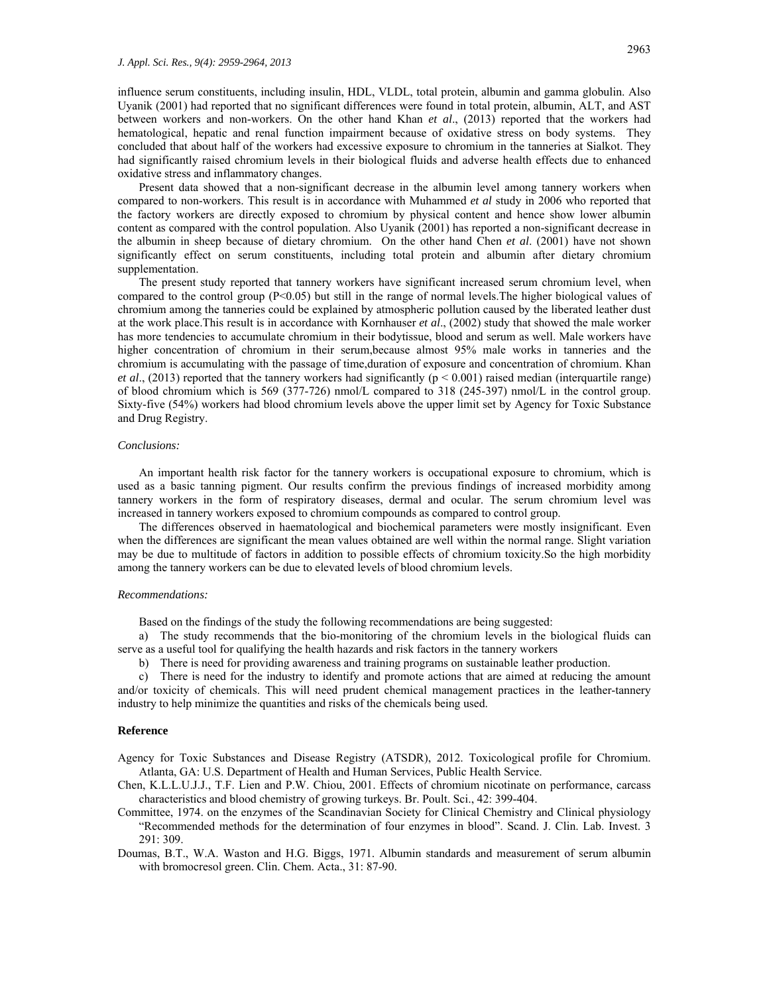influence serum constituents, including insulin, HDL, VLDL, total protein, albumin and gamma globulin. Also Uyanik (2001) had reported that no significant differences were found in total protein, albumin, ALT, and AST between workers and non-workers. On the other hand Khan *et al*., (2013) reported that the workers had hematological, hepatic and renal function impairment because of oxidative stress on body systems. They concluded that about half of the workers had excessive exposure to chromium in the tanneries at Sialkot. They had significantly raised chromium levels in their biological fluids and adverse health effects due to enhanced oxidative stress and inflammatory changes.

Present data showed that a non-significant decrease in the albumin level among tannery workers when compared to non-workers. This result is in accordance with Muhammed *et al* study in 2006 who reported that the factory workers are directly exposed to chromium by physical content and hence show lower albumin content as compared with the control population. Also Uyanik (2001) has reported a non-significant decrease in the albumin in sheep because of dietary chromium. On the other hand Chen *et al*. (2001) have not shown significantly effect on serum constituents, including total protein and albumin after dietary chromium supplementation.

The present study reported that tannery workers have significant increased serum chromium level, when compared to the control group (P<0.05) but still in the range of normal levels.The higher biological values of chromium among the tanneries could be explained by atmospheric pollution caused by the liberated leather dust at the work place.This result is in accordance with Kornhauser *et al*., (2002) study that showed the male worker has more tendencies to accumulate chromium in their bodytissue, blood and serum as well. Male workers have higher concentration of chromium in their serum,because almost 95% male works in tanneries and the chromium is accumulating with the passage of time,duration of exposure and concentration of chromium. Khan *et al.*, (2013) reported that the tannery workers had significantly ( $p < 0.001$ ) raised median (interquartile range) of blood chromium which is 569 (377-726) nmol/L compared to 318 (245-397) nmol/L in the control group. Sixty-five (54%) workers had blood chromium levels above the upper limit set by Agency for Toxic Substance and Drug Registry.

# *Conclusions:*

An important health risk factor for the tannery workers is occupational exposure to chromium, which is used as a basic tanning pigment. Our results confirm the previous findings of increased morbidity among tannery workers in the form of respiratory diseases, dermal and ocular. The serum chromium level was increased in tannery workers exposed to chromium compounds as compared to control group.

The differences observed in haematological and biochemical parameters were mostly insignificant. Even when the differences are significant the mean values obtained are well within the normal range. Slight variation may be due to multitude of factors in addition to possible effects of chromium toxicity.So the high morbidity among the tannery workers can be due to elevated levels of blood chromium levels.

#### *Recommendations:*

Based on the findings of the study the following recommendations are being suggested:

a) The study recommends that the bio-monitoring of the chromium levels in the biological fluids can serve as a useful tool for qualifying the health hazards and risk factors in the tannery workers

b) There is need for providing awareness and training programs on sustainable leather production.

c) There is need for the industry to identify and promote actions that are aimed at reducing the amount and/or toxicity of chemicals. This will need prudent chemical management practices in the leather-tannery industry to help minimize the quantities and risks of the chemicals being used.

#### **Reference**

Agency for Toxic Substances and Disease Registry (ATSDR), 2012. Toxicological profile for Chromium. Atlanta, GA: U.S. Department of Health and Human Services, Public Health Service.

- Chen, K.L.L.U.J.J., T.F. Lien and P.W. Chiou, 2001. Effects of chromium nicotinate on performance, carcass characteristics and blood chemistry of growing turkeys. Br. Poult. Sci., 42: 399-404.
- Committee, 1974. on the enzymes of the Scandinavian Society for Clinical Chemistry and Clinical physiology "Recommended methods for the determination of four enzymes in blood". Scand. J. Clin. Lab. Invest. 3 291: 309.
- Doumas, B.T., W.A. Waston and H.G. Biggs, 1971. Albumin standards and measurement of serum albumin with bromocresol green. Clin. Chem. Acta., 31: 87-90.